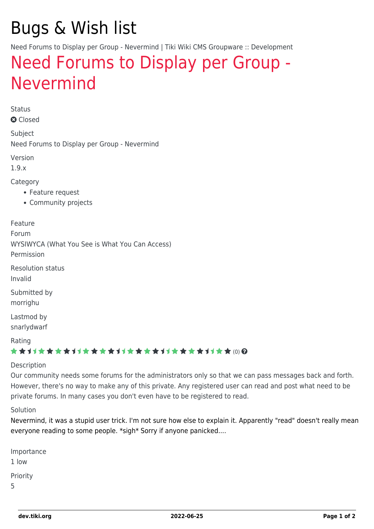# Bugs & Wish list

Need Forums to Display per Group - Nevermind | Tiki Wiki CMS Groupware :: Development

## [Need Forums to Display per Group -](https://dev.tiki.org/item1722-Need-Forums-to-Display-per-Group-Nevermind) [Nevermind](https://dev.tiki.org/item1722-Need-Forums-to-Display-per-Group-Nevermind)

Status

**a** Closed

Subject Need Forums to Display per Group - Nevermind

Version

1.9.x

Category

- Feature request
- Community projects

Feature Forum WYSIWYCA (What You See is What You Can Access) Permission Resolution status Invalid Submitted by morrighu Lastmod by

snarlydwarf

Rating

#### \*\*\*\*\*\*\*\*\*\*\*\*\*\*\*\*\*\*\*\*\*\*\*\*\*\*\*\*\*\*

#### Description

Our community needs some forums for the administrators only so that we can pass messages back and forth. However, there's no way to make any of this private. Any registered user can read and post what need to be private forums. In many cases you don't even have to be registered to read.

#### Solution

Nevermind, it was a stupid user trick. I'm not sure how else to explain it. Apparently "read" doesn't really mean everyone reading to some people. \*sigh\* Sorry if anyone panicked....

| Importance |
|------------|
| 1 Iow      |
| Priority   |
| 5          |